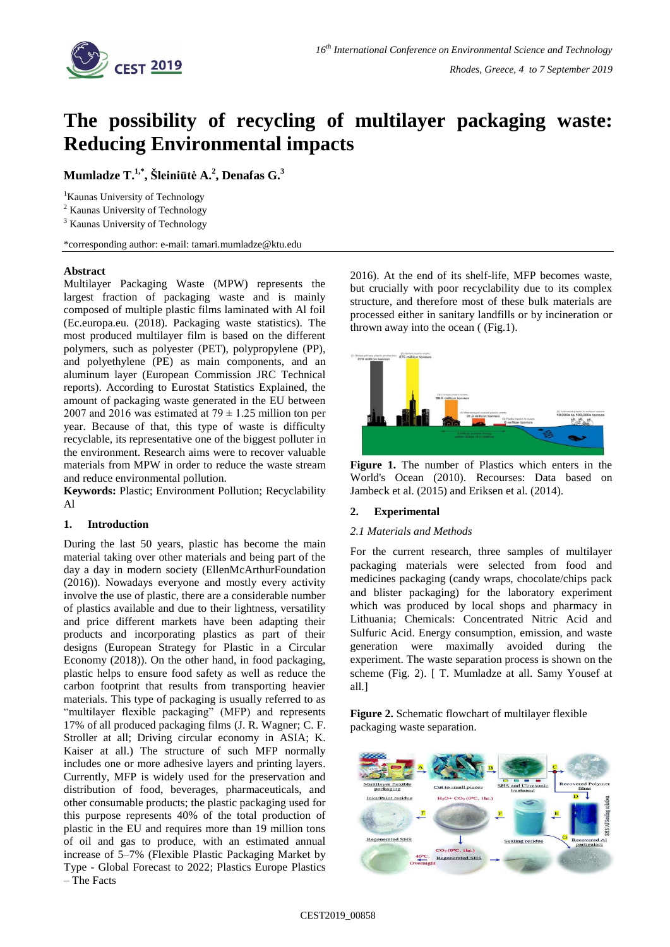

# **The possibility of recycling of multilayer packaging waste: Reducing Environmental impacts**

**Mumladze T. 1,\* , Šleiniūtė A. 2 , Denafas G. 3**

<sup>1</sup>Kaunas University of Technology

<sup>2</sup> Kaunas University of Technology

<sup>3</sup> Kaunas University of Technology

\*corresponding author: e-mail: tamari.mumladze@ktu.edu

# **Abstract**

Multilayer Packaging Waste (MPW) represents the largest fraction of packaging waste and is mainly composed of multiple plastic films laminated with Al foil (Ec.europa.eu. (2018). Packaging waste statistics). The most produced multilayer film is based on the different polymers, such as polyester (PET), polypropylene (PP), and polyethylene (PE) as main components, and an aluminum layer (European Commission JRC Technical reports). According to Eurostat Statistics Explained, the amount of packaging waste generated in the EU between 2007 and 2016 was estimated at  $79 \pm 1.25$  million ton per year. Because of that, this type of waste is difficulty recyclable, its representative one of the biggest polluter in the environment. Research aims were to recover valuable materials from MPW in order to reduce the waste stream and reduce environmental pollution.

**Keywords:** Plastic; Environment Pollution; Recyclability Al

# **1. Introduction**

During the last 50 years, plastic has become the main material taking over other materials and being part of the day a day in modern society (EllenMcArthurFoundation (2016)). Nowadays everyone and mostly every activity involve the use of plastic, there are a considerable number of plastics available and due to their lightness, versatility and price different markets have been adapting their products and incorporating plastics as part of their designs (European Strategy for Plastic in a Circular Economy (2018)). On the other hand, in food packaging, plastic helps to ensure food safety as well as reduce the carbon footprint that results from transporting heavier materials. This type of packaging is usually referred to as "multilayer flexible packaging" (MFP) and represents 17% of all produced packaging films (J. R. Wagner; C. F. Stroller at all; Driving circular economy in ASIA; K. Kaiser at all.) The structure of such MFP normally includes one or more adhesive layers and printing layers. Currently, MFP is widely used for the preservation and distribution of food, beverages, pharmaceuticals, and other consumable products; the plastic packaging used for this purpose represents 40% of the total production of plastic in the EU and requires more than 19 million tons of oil and gas to produce, with an estimated annual increase of 5–7% (Flexible Plastic Packaging Market by Type - Global Forecast to 2022; Plastics Europe Plastics – The Facts

2016). At the end of its shelf-life, MFP becomes waste, but crucially with poor recyclability due to its complex structure, and therefore most of these bulk materials are processed either in sanitary landfills or by incineration or thrown away into the ocean ( (Fig.1).



**Figure 1.** The number of Plastics which enters in the World's Ocean (2010). Recourses: Data based on Jambeck et al. (2015) and Eriksen et al. (2014).

# **2. Experimental**

# *2.1 Materials and Methods*

For the current research, three samples of multilayer packaging materials were selected from food and medicines packaging (candy wraps, chocolate/chips pack and blister packaging) for the laboratory experiment which was produced by local shops and pharmacy in Lithuania; Chemicals: Concentrated Nitric Acid and Sulfuric Acid. Energy consumption, emission, and waste generation were maximally avoided during the experiment. The waste separation process is shown on the scheme (Fig. 2). [ T. Mumladze at all. Samy Yousef at all.]

**Figure 2.** Schematic flowchart of multilayer flexible packaging waste separation.